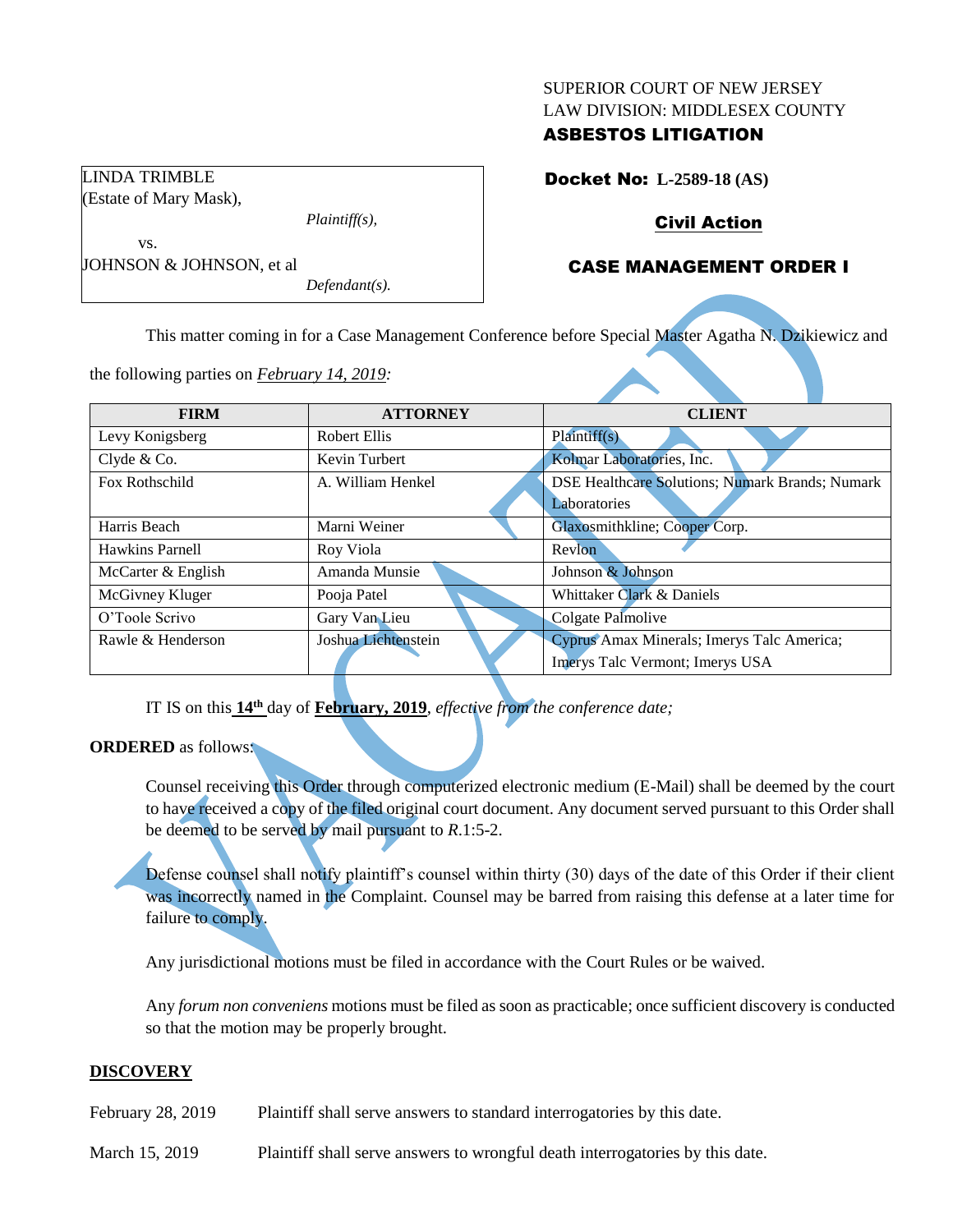#### SUPERIOR COURT OF NEW JERSEY LAW DIVISION: MIDDLESEX COUNTY

## ASBESTOS LITIGATION

Docket No: **L-2589-18 (AS)**

# Civil Action

# CASE MANAGEMENT ORDER I

vs. JOHNSON & JOHNSON, et al *Defendant(s).*

*Plaintiff(s),*

LINDA TRIMBLE (Estate of Mary Mask),

This matter coming in for a Case Management Conference before Special Master Agatha N. Dzikiewicz and

the following parties on *February 14, 2019:*

| <b>FIRM</b>        | <b>ATTORNEY</b>     | <b>CLIENT</b>                                   |
|--------------------|---------------------|-------------------------------------------------|
| Levy Konigsberg    | Robert Ellis        | Plaintiff(s)                                    |
| Clyde & Co.        | Kevin Turbert       | Kolmar Laboratories, Inc.                       |
| Fox Rothschild     | A. William Henkel   | DSE Healthcare Solutions; Numark Brands; Numark |
|                    |                     | Laboratories                                    |
| Harris Beach       | Marni Weiner        | Glaxosmithkline; Cooper Corp.                   |
| Hawkins Parnell    | Roy Viola           | Revlon                                          |
| McCarter & English | Amanda Munsie       | Johnson & Johnson                               |
| McGivney Kluger    | Pooja Patel         | Whittaker Clark & Daniels                       |
| O'Toole Scrivo     | Gary Van Lieu       | Colgate Palmolive                               |
| Rawle & Henderson  | Joshua Lichtenstein | Cyprus Amax Minerals; Imerys Talc America;      |
|                    |                     | Imerys Talc Vermont; Imerys USA                 |

IT IS on this **14th** day of **February, 2019**, *effective from the conference date;*

## **ORDERED** as follows:

Counsel receiving this Order through computerized electronic medium (E-Mail) shall be deemed by the court to have received a copy of the filed original court document. Any document served pursuant to this Order shall be deemed to be served by mail pursuant to *R*.1:5-2.

Defense counsel shall notify plaintiff's counsel within thirty (30) days of the date of this Order if their client was incorrectly named in the Complaint. Counsel may be barred from raising this defense at a later time for failure to comply.

Any jurisdictional motions must be filed in accordance with the Court Rules or be waived.

Any *forum non conveniens* motions must be filed as soon as practicable; once sufficient discovery is conducted so that the motion may be properly brought.

## **DISCOVERY**

February 28, 2019 Plaintiff shall serve answers to standard interrogatories by this date.

March 15, 2019 Plaintiff shall serve answers to wrongful death interrogatories by this date.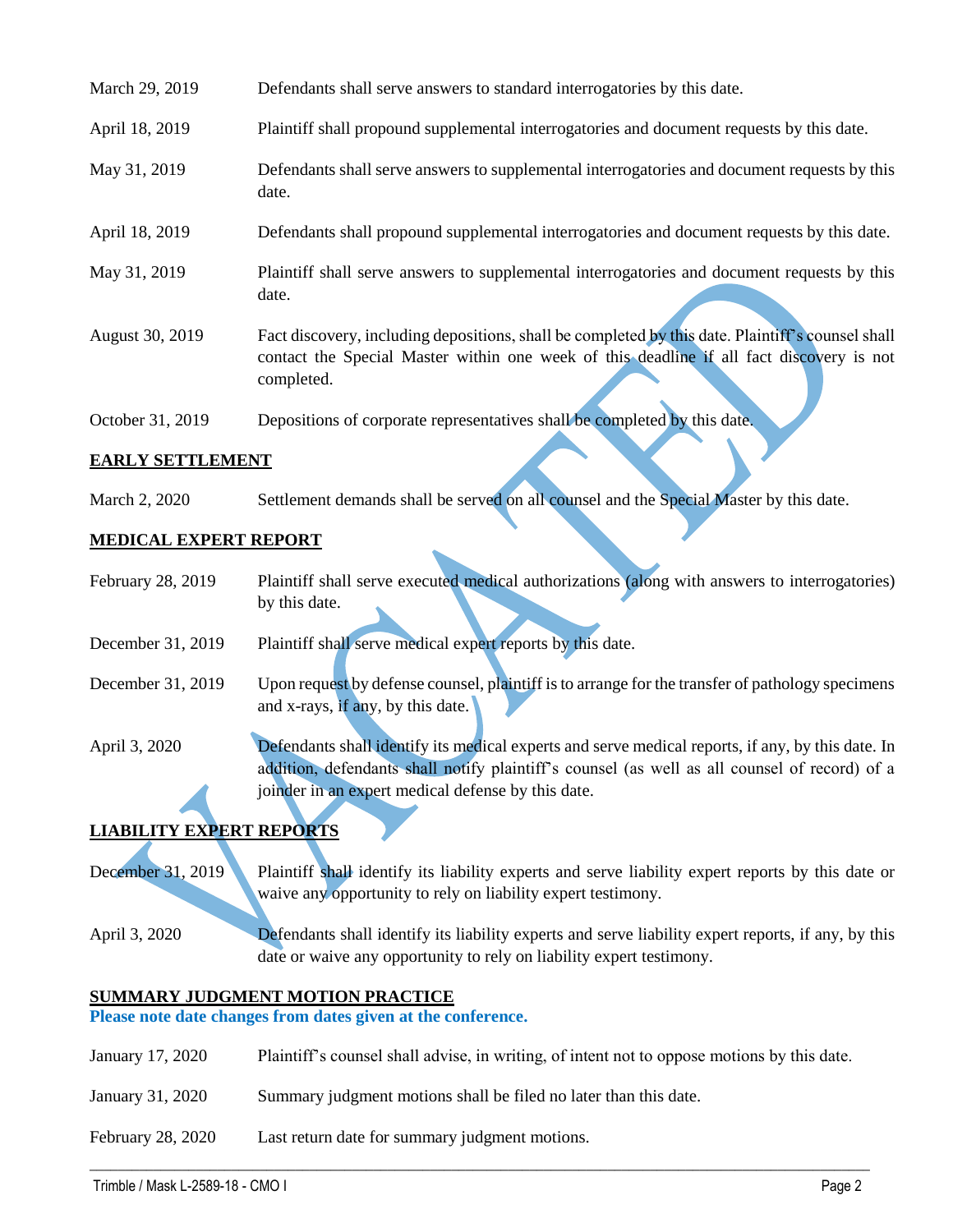| March 29, 2019   | Defendants shall serve answers to standard interrogatories by this date.                                                                                                                                    |
|------------------|-------------------------------------------------------------------------------------------------------------------------------------------------------------------------------------------------------------|
| April 18, 2019   | Plaintiff shall propound supplemental interrogatories and document requests by this date.                                                                                                                   |
| May 31, 2019     | Defendants shall serve answers to supplemental interrogatories and document requests by this<br>date.                                                                                                       |
| April 18, 2019   | Defendants shall propound supplemental interrogatories and document requests by this date.                                                                                                                  |
| May 31, 2019     | Plaintiff shall serve answers to supplemental interrogatories and document requests by this<br>date.                                                                                                        |
| August 30, 2019  | Fact discovery, including depositions, shall be completed by this date. Plaintiff's counsel shall<br>contact the Special Master within one week of this deadline if all fact discovery is not<br>completed. |
| October 31, 2019 | Depositions of corporate representatives shall be completed by this date.                                                                                                                                   |

## **EARLY SETTLEMENT**

March 2, 2020 Settlement demands shall be served on all counsel and the Special Master by this date.

## **MEDICAL EXPERT REPORT**

- February 28, 2019 Plaintiff shall serve executed medical authorizations (along with answers to interrogatories) by this date.
- December 31, 2019 Plaintiff shall serve medical expert reports by this date.
- December 31, 2019 Upon request by defense counsel, plaintiff is to arrange for the transfer of pathology specimens and x-rays, if any, by this date.
- April 3, 2020 Defendants shall identify its medical experts and serve medical reports, if any, by this date. In addition, defendants shall notify plaintiff's counsel (as well as all counsel of record) of a joinder in an expert medical defense by this date.

## **LIABILITY EXPERT REPORTS**

December 31, 2019 Plaintiff shall identify its liability experts and serve liability expert reports by this date or waive any opportunity to rely on liability expert testimony.

April 3, 2020 Defendants shall identify its liability experts and serve liability expert reports, if any, by this date or waive any opportunity to rely on liability expert testimony.

## **SUMMARY JUDGMENT MOTION PRACTICE**

**Please note date changes from dates given at the conference.**

January 17, 2020 Plaintiff's counsel shall advise, in writing, of intent not to oppose motions by this date.

 $\_$  , and the set of the set of the set of the set of the set of the set of the set of the set of the set of the set of the set of the set of the set of the set of the set of the set of the set of the set of the set of th

- January 31, 2020 Summary judgment motions shall be filed no later than this date.
- February 28, 2020 Last return date for summary judgment motions.